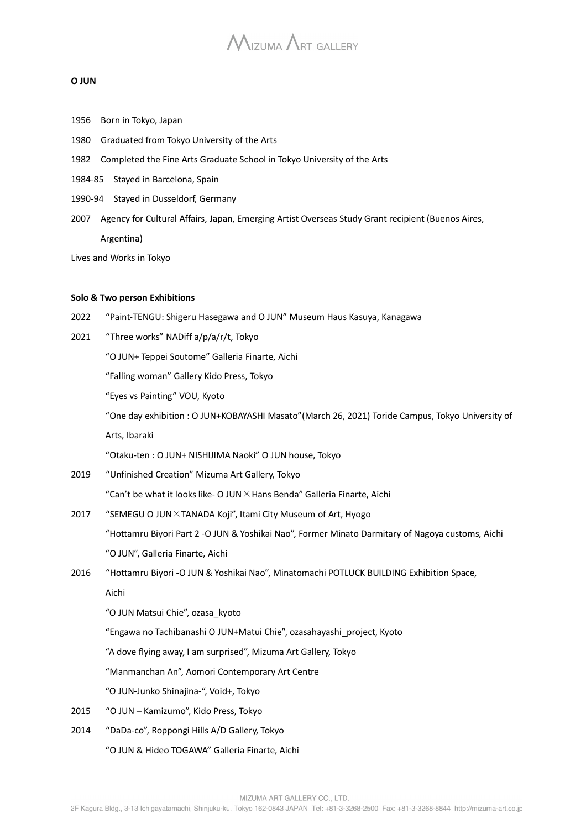#### **O JUN**

- 1956 Born in Tokyo, Japan
- 1980 Graduated from Tokyo University of the Arts
- 1982 Completed the Fine Arts Graduate School in Tokyo University of the Arts
- 1984-85 Stayed in Barcelona, Spain
- 1990-94 Stayed in Dusseldorf, Germany
- 2007 Agency for Cultural Affairs, Japan, Emerging Artist Overseas Study Grant recipient (Buenos Aires, Argentina)

Lives and Works in Tokyo

#### **Solo & Two person Exhibitions**

- 2022 "Paint-TENGU: Shigeru Hasegawa and O JUN" Museum Haus Kasuya, Kanagawa
- 2021 "Three works" NADiff a/p/a/r/t, Tokyo
	- "O JUN+ Teppei Soutome" Galleria Finarte, Aichi

"Falling woman" Gallery Kido Press, Tokyo

"Eyes vs Painting" VOU, Kyoto

"One day exhibition : O JUN+KOBAYASHI Masato"(March 26, 2021) Toride Campus, Tokyo University of

Arts, Ibaraki

"Otaku-ten : O JUN+ NISHIJIMA Naoki" O JUN house, Tokyo

- 2019 "Unfinished Creation" Mizuma Art Gallery, Tokyo
	- "Can't be what it looks like- O JUN  $\times$  Hans Benda" Galleria Finarte. Aichi
- 2017 "SEMEGU O JUN×TANADA Koji", Itami City Museum of Art, Hyogo "Hottamru Biyori Part 2 -O JUN & Yoshikai Nao", Former Minato Darmitary of Nagoya customs, Aichi "O JUN", Galleria Finarte, Aichi
- 2016 "Hottamru Biyori -O JUN & Yoshikai Nao", Minatomachi POTLUCK BUILDING Exhibition Space,

Aichi

"O JUN Matsui Chie", ozasa\_kyoto

"Engawa no Tachibanashi O JUN+Matui Chie", ozasahayashi\_project, Kyoto

"A dove flying away, I am surprised", Mizuma Art Gallery, Tokyo

"Manmanchan An", Aomori Contemporary Art Centre

"O JUN-Junko Shinajina-", Void+, Tokyo

- 2015 "O JUN Kamizumo", Kido Press, Tokyo
- 2014 "DaDa-co", Roppongi Hills A/D Gallery, Tokyo
	- "O JUN & Hideo TOGAWA" Galleria Finarte, Aichi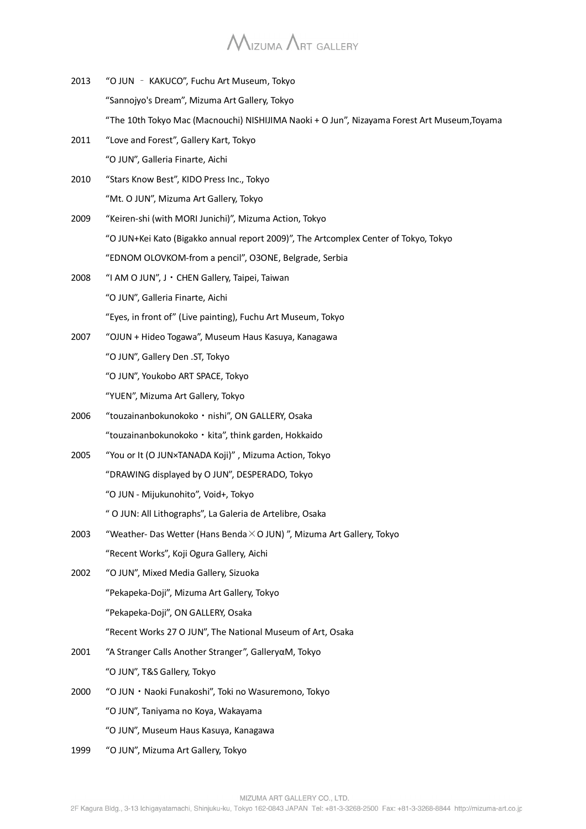## $M_{\text{IZUMA}}$   $\Lambda$ rt Gallery

- 2013 "O JUN KAKUCO", Fuchu Art Museum, Tokyo "Sannojyo's Dream", Mizuma Art Gallery, Tokyo "The 10th Tokyo Mac (Macnouchi) NISHIJIMA Naoki + O Jun", Nizayama Forest Art Museum,Toyama
- 2011 "Love and Forest", Gallery Kart, Tokyo "O JUN", Galleria Finarte, Aichi
- 2010 "Stars Know Best", KIDO Press Inc., Tokyo "Mt. O JUN", Mizuma Art Gallery, Tokyo
- 2009 "Keiren-shi (with MORI Junichi)", Mizuma Action, Tokyo "O JUN+Kei Kato (Bigakko annual report 2009)", The Artcomplex Center of Tokyo, Tokyo "EDNOM OLOVKOM-from a pencil", O3ONE, Belgrade, Serbia
- 2008 "I AM O JUN", J・CHEN Gallery, Taipei, Taiwan "O JUN", Galleria Finarte, Aichi "Eyes, in front of" (Live painting), Fuchu Art Museum, Tokyo
- 2007 "OJUN + Hideo Togawa", Museum Haus Kasuya, Kanagawa "O JUN", Gallery Den .ST, Tokyo "O JUN", Youkobo ART SPACE, Tokyo "YUEN", Mizuma Art Gallery, Tokyo
- 2006 "touzainanbokunokoko・nishi", ON GALLERY, Osaka "touzainanbokunokoko・kita", think garden, Hokkaido
- 2005 "You or It (O JUN×TANADA Koji)" , Mizuma Action, Tokyo "DRAWING displayed by O JUN", DESPERADO, Tokyo "O JUN - Mijukunohito", Void+, Tokyo
	- " O JUN: All Lithographs", La Galeria de Artelibre, Osaka
- 2003 "Weather- Das Wetter (Hans Benda×O JUN) ", Mizuma Art Gallery, Tokyo "Recent Works", Koji Ogura Gallery, Aichi
- 2002 "O JUN", Mixed Media Gallery, Sizuoka "Pekapeka-Doji", Mizuma Art Gallery, Tokyo "Pekapeka-Doji", ON GALLERY, Osaka "Recent Works 27 O JUN", The National Museum of Art, Osaka
- 2001 "A Stranger Calls Another Stranger", GalleryαM, Tokyo "O JUN", T&S Gallery, Tokyo
- 2000 "O JUN・Naoki Funakoshi", Toki no Wasuremono, Tokyo "O JUN", Taniyama no Koya, Wakayama "O JUN", Museum Haus Kasuya, Kanagawa
- 1999 "O JUN", Mizuma Art Gallery, Tokyo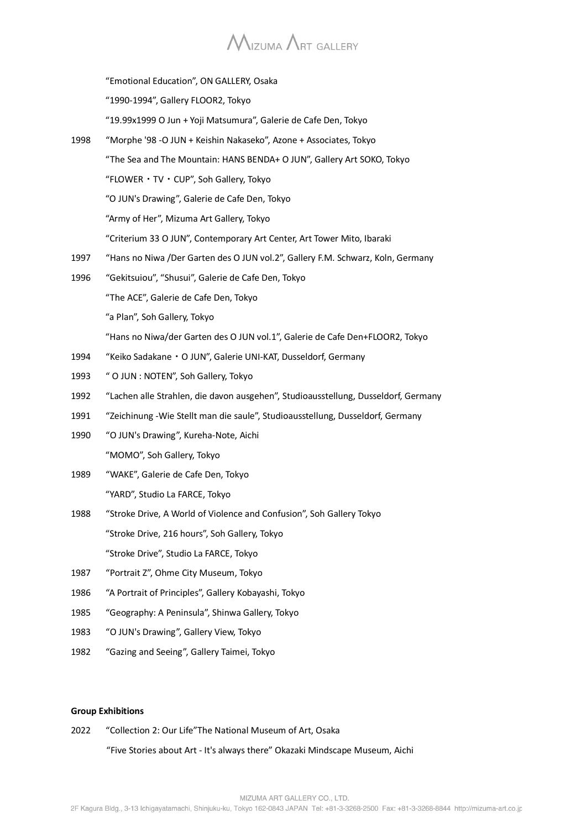# $M_{\text{IZUMA}}$   $\Lambda$ rt Gallery

|      | "Emotional Education", ON GALLERY, Osaka                                           |
|------|------------------------------------------------------------------------------------|
|      | "1990-1994", Gallery FLOOR2, Tokyo                                                 |
|      | "19.99x1999 O Jun + Yoji Matsumura", Galerie de Cafe Den, Tokyo                    |
| 1998 | "Morphe '98 -O JUN + Keishin Nakaseko", Azone + Associates, Tokyo                  |
|      | "The Sea and The Mountain: HANS BENDA+ O JUN", Gallery Art SOKO, Tokyo             |
|      | "FLOWER · TV · CUP", Soh Gallery, Tokyo                                            |
|      | "O JUN's Drawing", Galerie de Cafe Den, Tokyo                                      |
|      | "Army of Her", Mizuma Art Gallery, Tokyo                                           |
|      | "Criterium 33 O JUN", Contemporary Art Center, Art Tower Mito, Ibaraki             |
| 1997 | "Hans no Niwa /Der Garten des O JUN vol.2", Gallery F.M. Schwarz, Koln, Germany    |
| 1996 | "Gekitsuiou", "Shusui", Galerie de Cafe Den, Tokyo                                 |
|      | "The ACE", Galerie de Cafe Den, Tokyo                                              |
|      | "a Plan", Soh Gallery, Tokyo                                                       |
|      | "Hans no Niwa/der Garten des O JUN vol.1", Galerie de Cafe Den+FLOOR2, Tokyo       |
| 1994 | "Keiko Sadakane · O JUN", Galerie UNI-KAT, Dusseldorf, Germany                     |
| 1993 | " O JUN : NOTEN", Soh Gallery, Tokyo                                               |
| 1992 | "Lachen alle Strahlen, die davon ausgehen", Studioausstellung, Dusseldorf, Germany |
| 1991 | "Zeichinung -Wie Stellt man die saule", Studioausstellung, Dusseldorf, Germany     |
| 1990 | "O JUN's Drawing", Kureha-Note, Aichi                                              |
|      | "MOMO", Soh Gallery, Tokyo                                                         |
| 1989 | "WAKE", Galerie de Cafe Den, Tokyo                                                 |
|      | "YARD", Studio La FARCE, Tokyo                                                     |
| 1988 | "Stroke Drive, A World of Violence and Confusion", Soh Gallery Tokyo               |
|      | "Stroke Drive, 216 hours", Soh Gallery, Tokyo                                      |
|      | "Stroke Drive", Studio La FARCE, Tokyo                                             |
| 1987 | "Portrait Z", Ohme City Museum, Tokyo                                              |
| 1986 | "A Portrait of Principles", Gallery Kobayashi, Tokyo                               |
| 1985 | "Geography: A Peninsula", Shinwa Gallery, Tokyo                                    |
| 1983 | "O JUN's Drawing", Gallery View, Tokyo                                             |
| 1982 | "Gazing and Seeing", Gallery Taimei, Tokyo                                         |
|      |                                                                                    |

#### **Group Exhibitions**

2022 "Collection 2: Our Life"The National Museum of Art, Osaka

"Five Stories about Art - It's always there" Okazaki Mindscape Museum, Aichi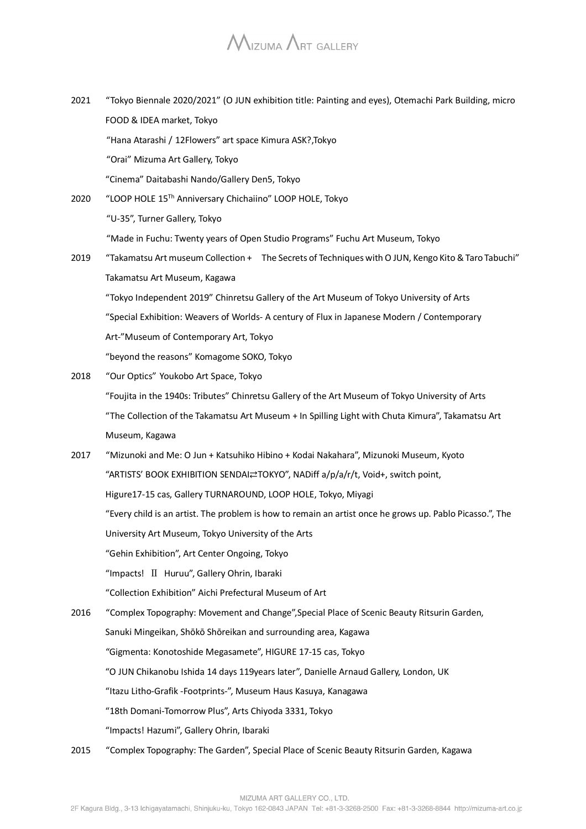- 2021 "Tokyo Biennale 2020/2021" (O JUN exhibition title: Painting and eyes), Otemachi Park Building, micro FOOD & IDEA market, Tokyo "Hana Atarashi / 12Flowers" art space Kimura ASK?,Tokyo "Orai" Mizuma Art Gallery, Tokyo "Cinema" Daitabashi Nando/Gallery Den5, Tokyo
- 2020 "LOOP HOLE 15Th Anniversary Chichaiino" LOOP HOLE, Tokyo "U-35", Turner Gallery, Tokyo "Made in Fuchu: Twenty years of Open Studio Programs" Fuchu Art Museum, Tokyo 2019 "Takamatsu Art museum Collection + The Secrets of Techniques with O JUN, Kengo Kito & Taro Tabuchi"
- Takamatsu Art Museum, Kagawa "Tokyo Independent 2019" Chinretsu Gallery of the Art Museum of Tokyo University of Arts "Special Exhibition: Weavers of Worlds- A century of Flux in Japanese Modern / Contemporary Art-"Museum of Contemporary Art, Tokyo "beyond the reasons" Komagome SOKO, Tokyo
- 2018 "Our Optics" Youkobo Art Space, Tokyo "Foujita in the 1940s: Tributes" Chinretsu Gallery of the Art Museum of Tokyo University of Arts "The Collection of the Takamatsu Art Museum + In Spilling Light with Chuta Kimura", Takamatsu Art Museum, Kagawa
- 2017 "Mizunoki and Me: O Jun + Katsuhiko Hibino + Kodai Nakahara", Mizunoki Museum, Kyoto "ARTISTS' BOOK EXHIBITION SENDAI⇄TOKYO", NADiff a/p/a/r/t, Void+, switch point, Higure17-15 cas, Gallery TURNAROUND, LOOP HOLE, Tokyo, Miyagi "Every child is an artist. The problem is how to remain an artist once he grows up. Pablo Picasso.", The University Art Museum, Tokyo University of the Arts "Gehin Exhibition", Art Center Ongoing, Tokyo "Impacts! Ⅱ Huruu", Gallery Ohrin, Ibaraki "Collection Exhibition" Aichi Prefectural Museum of Art
- 2016 "Complex Topography: Movement and Change",Special Place of Scenic Beauty Ritsurin Garden, Sanuki Mingeikan, Shōkō Shōreikan and surrounding area, Kagawa "Gigmenta: Konotoshide Megasamete", HIGURE 17-15 cas, Tokyo "O JUN Chikanobu Ishida 14 days 119years later", Danielle Arnaud Gallery, London, UK "Itazu Litho-Grafik -Footprints-", Museum Haus Kasuya, Kanagawa "18th Domani-Tomorrow Plus", Arts Chiyoda 3331, Tokyo "Impacts! Hazumi", Gallery Ohrin, Ibaraki
- 2015 "Complex Topography: The Garden", Special Place of Scenic Beauty Ritsurin Garden, Kagawa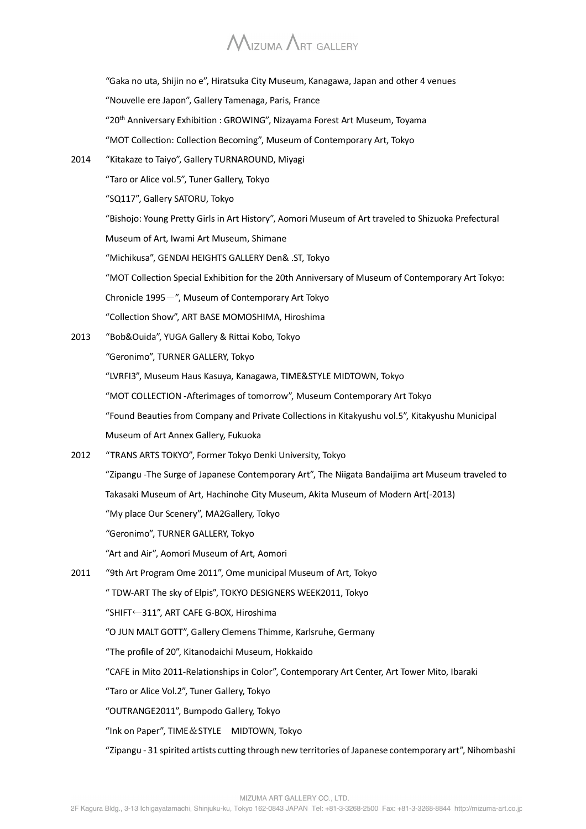"Gaka no uta, Shijin no e", Hiratsuka City Museum, Kanagawa, Japan and other 4 venues "Nouvelle ere Japon", Gallery Tamenaga, Paris, France "20th Anniversary Exhibition : GROWING", Nizayama Forest Art Museum, Toyama "MOT Collection: Collection Becoming", Museum of Contemporary Art, Tokyo 2014 "Kitakaze to Taiyo", Gallery TURNAROUND, Miyagi "Taro or Alice vol.5", Tuner Gallery, Tokyo "SQ117", Gallery SATORU, Tokyo "Bishojo: Young Pretty Girls in Art History", Aomori Museum of Art traveled to Shizuoka Prefectural Museum of Art, Iwami Art Museum, Shimane "Michikusa", GENDAI HEIGHTS GALLERY Den& .ST, Tokyo "MOT Collection Special Exhibition for the 20th Anniversary of Museum of Contemporary Art Tokyo: Chronicle  $1995 -$ ", Museum of Contemporary Art Tokyo "Collection Show", ART BASE MOMOSHIMA, Hiroshima 2013 "Bob&Ouida", YUGA Gallery & Rittai Kobo, Tokyo "Geronimo", TURNER GALLERY, Tokyo "LVRFI3", Museum Haus Kasuya, Kanagawa, TIME&STYLE MIDTOWN, Tokyo "MOT COLLECTION -Afterimages of tomorrow", Museum Contemporary Art Tokyo "Found Beauties from Company and Private Collections in Kitakyushu vol.5", Kitakyushu Municipal Museum of Art Annex Gallery, Fukuoka 2012 "TRANS ARTS TOKYO", Former Tokyo Denki University, Tokyo "Zipangu -The Surge of Japanese Contemporary Art", The Niigata Bandaijima art Museum traveled to Takasaki Museum of Art, Hachinohe City Museum, Akita Museum of Modern Art(-2013) "My place Our Scenery", MA2Gallery, Tokyo "Geronimo", TURNER GALLERY, Tokyo "Art and Air", Aomori Museum of Art, Aomori 2011 "9th Art Program Ome 2011", Ome municipal Museum of Art, Tokyo " TDW-ART The sky of Elpis", TOKYO DESIGNERS WEEK2011, Tokyo "SHIFT←311", ART CAFE G-BOX, Hiroshima "O JUN MALT GOTT", Gallery Clemens Thimme, Karlsruhe, Germany "The profile of 20", Kitanodaichi Museum, Hokkaido "CAFE in Mito 2011-Relationships in Color", Contemporary Art Center, Art Tower Mito, Ibaraki "Taro or Alice Vol.2", Tuner Gallery, Tokyo "OUTRANGE2011", Bumpodo Gallery, Tokyo "Ink on Paper", TIME&STYLE MIDTOWN, Tokyo "Zipangu - 31 spirited artists cutting through new territories of Japanese contemporary art", Nihombashi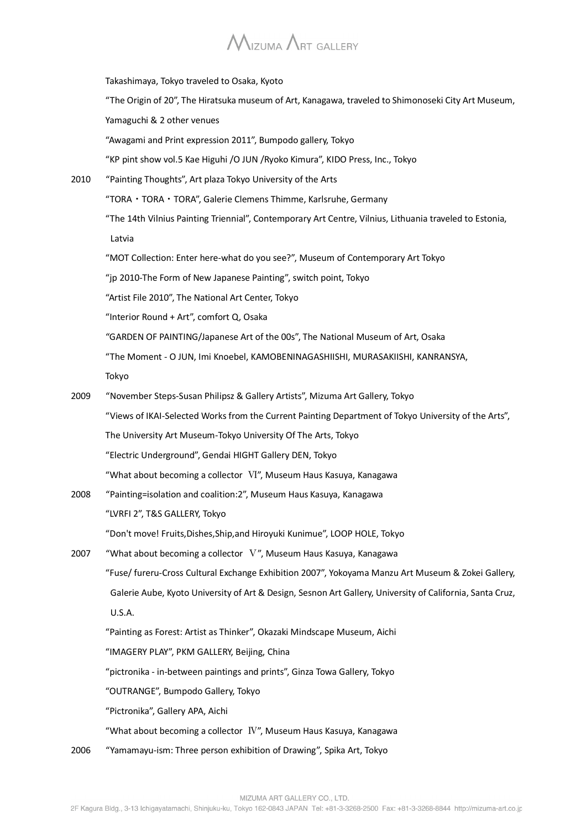Takashimaya, Tokyo traveled to Osaka, Kyoto "The Origin of 20", The Hiratsuka museum of Art, Kanagawa, traveled to Shimonoseki City Art Museum, Yamaguchi & 2 other venues "Awagami and Print expression 2011", Bumpodo gallery, Tokyo "KP pint show vol.5 Kae Higuhi /O JUN /Ryoko Kimura", KIDO Press, Inc., Tokyo 2010 "Painting Thoughts", Art plaza Tokyo University of the Arts "TORA・TORA・TORA", Galerie Clemens Thimme, Karlsruhe, Germany "The 14th Vilnius Painting Triennial", Contemporary Art Centre, Vilnius, Lithuania traveled to Estonia, Latvia "MOT Collection: Enter here-what do you see?", Museum of Contemporary Art Tokyo "jp 2010-The Form of New Japanese Painting", switch point, Tokyo "Artist File 2010", The National Art Center, Tokyo "Interior Round + Art", comfort Q, Osaka "GARDEN OF PAINTING/Japanese Art of the 00s", The National Museum of Art, Osaka "The Moment - O JUN, Imi Knoebel, KAMOBENINAGASHIISHI, MURASAKIISHI, KANRANSYA, Tokyo 2009 "November Steps-Susan Philipsz & Gallery Artists", Mizuma Art Gallery, Tokyo "Views of IKAI-Selected Works from the Current Painting Department of Tokyo University of the Arts", The University Art Museum-Tokyo University Of The Arts, Tokyo "Electric Underground", Gendai HIGHT Gallery DEN, Tokyo "What about becoming a collector Ⅵ", Museum Haus Kasuya, Kanagawa 2008 "Painting=isolation and coalition:2", Museum Haus Kasuya, Kanagawa "LVRFI 2", T&S GALLERY, Tokyo "Don't move! Fruits,Dishes,Ship,and Hiroyuki Kunimue", LOOP HOLE, Tokyo 2007 "What about becoming a collector Ⅴ", Museum Haus Kasuya, Kanagawa "Fuse/ fureru-Cross Cultural Exchange Exhibition 2007", Yokoyama Manzu Art Museum & Zokei Gallery, Galerie Aube, Kyoto University of Art & Design, Sesnon Art Gallery, University of California, Santa Cruz, U.S.A. "Painting as Forest: Artist as Thinker", Okazaki Mindscape Museum, Aichi "IMAGERY PLAY", PKM GALLERY, Beijing, China "pictronika - in-between paintings and prints", Ginza Towa Gallery, Tokyo "OUTRANGE", Bumpodo Gallery, Tokyo "Pictronika", Gallery APA, Aichi "What about becoming a collector  $\Gamma$ ", Museum Haus Kasuya, Kanagawa 2006 "Yamamayu-ism: Three person exhibition of Drawing", Spika Art, Tokyo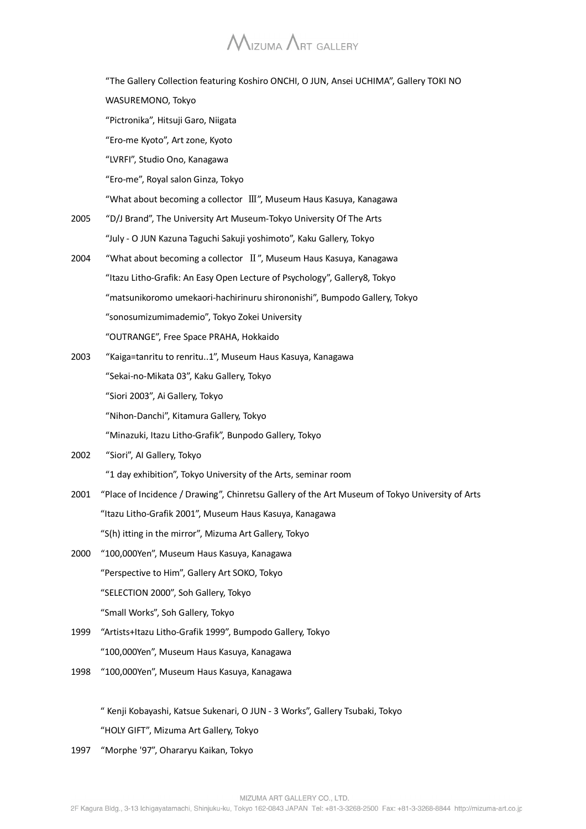# $M$ IZUMA  $\Lambda$ RT GALLERY

|      | "The Gallery Collection featuring Koshiro ONCHI, O JUN, Ansei UCHIMA", Gallery TOKI NO          |
|------|-------------------------------------------------------------------------------------------------|
|      | WASUREMONO, Tokyo                                                                               |
|      | "Pictronika", Hitsuji Garo, Niigata                                                             |
|      | "Ero-me Kyoto", Art zone, Kyoto                                                                 |
|      | "LVRFI", Studio Ono, Kanagawa                                                                   |
|      | "Ero-me", Royal salon Ginza, Tokyo                                                              |
|      | "What about becoming a collector III", Museum Haus Kasuya, Kanagawa                             |
| 2005 | "D/J Brand", The University Art Museum-Tokyo University Of The Arts                             |
|      | "July - O JUN Kazuna Taguchi Sakuji yoshimoto", Kaku Gallery, Tokyo                             |
| 2004 | "What about becoming a collector $\mathbb{I}$ ", Museum Haus Kasuya, Kanagawa                   |
|      | "Itazu Litho-Grafik: An Easy Open Lecture of Psychology", Gallery8, Tokyo                       |
|      | "matsunikoromo umekaori-hachirinuru shirononishi", Bumpodo Gallery, Tokyo                       |
|      | "sonosumizumimademio", Tokyo Zokei University                                                   |
|      | "OUTRANGE", Free Space PRAHA, Hokkaido                                                          |
| 2003 | "Kaiga=tanritu to renritu1", Museum Haus Kasuya, Kanagawa                                       |
|      | "Sekai-no-Mikata 03", Kaku Gallery, Tokyo                                                       |
|      | "Siori 2003", Ai Gallery, Tokyo                                                                 |
|      | "Nihon-Danchi", Kitamura Gallery, Tokyo                                                         |
|      | "Minazuki, Itazu Litho-Grafik", Bunpodo Gallery, Tokyo                                          |
| 2002 | "Siori", Al Gallery, Tokyo                                                                      |
|      | "1 day exhibition", Tokyo University of the Arts, seminar room                                  |
| 2001 | "Place of Incidence / Drawing", Chinretsu Gallery of the Art Museum of Tokyo University of Arts |
|      | "Itazu Litho-Grafik 2001", Museum Haus Kasuya, Kanagawa                                         |
|      | "S(h) itting in the mirror", Mizuma Art Gallery, Tokyo                                          |
| 2000 | "100,000Yen", Museum Haus Kasuya, Kanagawa                                                      |
|      | "Perspective to Him", Gallery Art SOKO, Tokyo                                                   |
|      | "SELECTION 2000", Soh Gallery, Tokyo                                                            |
|      | "Small Works", Soh Gallery, Tokyo                                                               |
| 1999 | "Artists+Itazu Litho-Grafik 1999", Bumpodo Gallery, Tokyo                                       |
|      | "100,000Yen", Museum Haus Kasuya, Kanagawa                                                      |
| 1998 | "100,000Yen", Museum Haus Kasuya, Kanagawa                                                      |
|      |                                                                                                 |

 " Kenji Kobayashi, Katsue Sukenari, O JUN - 3 Works", Gallery Tsubaki, Tokyo "HOLY GIFT", Mizuma Art Gallery, Tokyo

1997 "Morphe '97", Ohararyu Kaikan, Tokyo